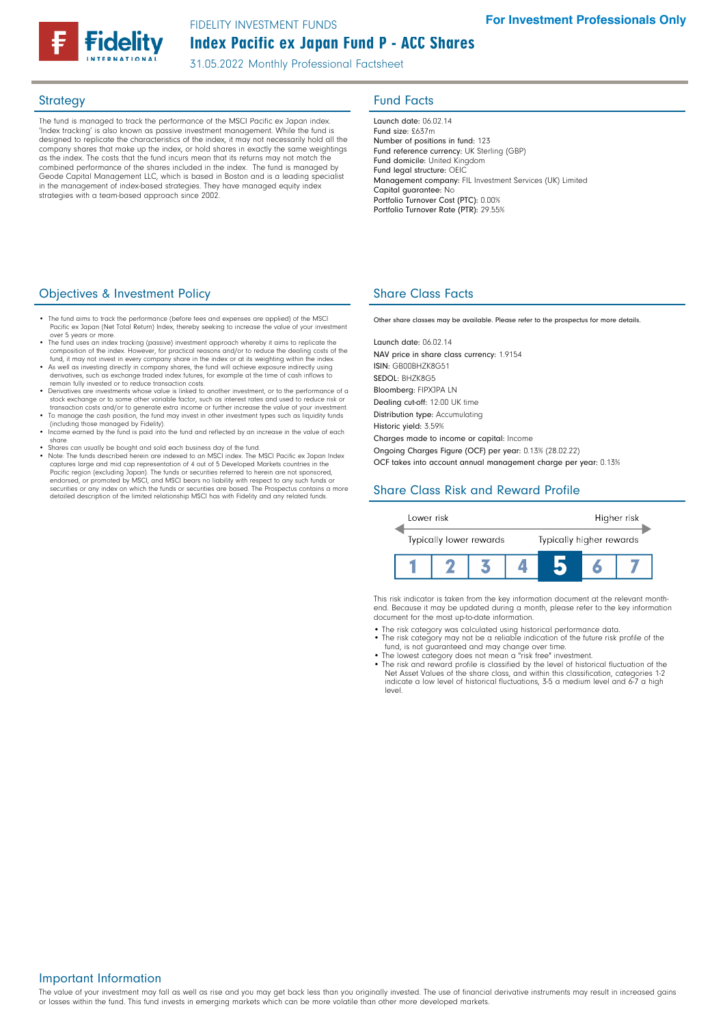

## Index Pacific ex Japan Fund P - ACC Shares FIDELITY INVESTMENT FUNDS

31.05.2022 Monthly Professional Factsheet

The fund is managed to track the performance of the MSCI Pacific ex Japan index. 'Index tracking' is also known as passive investment management. While the fund is designed to replicate the characteristics of the index, it may not necessarily hold all the company shares that make up the index, or hold shares in exactly the same weightings as the index. The costs that the fund incurs mean that its returns may not match the combined performance of the shares included in the index. The fund is managed by Geode Capital Management LLC, which is based in Boston and is a leading specialist in the management of index-based strategies. They have managed equity index strategies with a team-based approach since 2002.

## Strategy **Fund Facts**

Launch date: 06.02.14 Fund size: £637m Number of positions in fund: 123 Fund reference currency: UK Sterling (GBP) Fund domicile: United Kingdom Fund legal structure: OEIC Management company: FIL Investment Services (UK) Limited Capital guarantee: No Portfolio Turnover Cost (PTC): 0.00% Portfolio Turnover Rate (PTR): 29.55%

### **Objectives & Investment Policy Share Class Facts** Share Class Facts

- The fund aims to track the performance (before fees and expenses are applied) of the MSCI Pacific ex Japan (Net Total Return) Index, thereby seeking to increase the value of your over 5 years or more.
- The fund uses an index tracking (passive) investment approach whereby it aims to replicate the<br>composition of the index. However, for practical reasons and/or to reduce the dealing costs of the<br>fund, it may not invest in
- As well as investing directly in company shares, the fund will achieve exposure indirectly using derivatives, such as exchange traded index futures, for example at the time of cash inflows to remain fully invested or to reduce transaction costs.
- Derivatives are investments whose value is linked to another investment, or to the performance of a stock exchange or to some other variable factor, such as interest rates and used to reduce risk or
- transaction costs and/or to generate extra income or further increase the value of your investment.<br>• To manage the cash position, the fund may invest in other investment types such as liquidity funds<br>(including those mana
- Income earned by the fund is paid into the fund and reflected by an increase in the value of each share.
- Shares can usually be bought and sold each business day of the fund.
- Note: The funds described herein are indexed to an MSCI index. The MSCI Pacific ex Japan Index captures large and mid cap representation of 4 out of 5 Developed Markets countries in the Pacific region (excluding Japan). The funds or securities referred to herein are not sponsored,<br>endorsed, or promoted by MSCI, and MSCI bears no liability with respect to any such funds or<br>securities or any index on which detailed description of the limited relationship MSCI has with Fidelity and any related funds.

Other share classes may be available. Please refer to the prospectus for more details.

Launch date: 06.02.14 NAV price in share class currency: 1.9154 ISIN: GB00BHZK8G51 SEDOL: BHZK8G5 Bloomberg: FIPXJPA LN Dealing cut-off: 12:00 UK time Distribution type: Accumulating Historic yield: 3.59% Charges made to income or capital: Income Ongoing Charges Figure (OCF) per year: 0.13% (28.02.22) OCF takes into account annual management charge per year: 0.13%

# Share Class Risk and Reward Profile



This risk indicator is taken from the key information document at the relevant monthend. Because it may be updated during a month, please refer to the key information document for the most up-to-date information.

- The risk category was calculated using historical performance data.
- The risk category may not be a reliable indication of the future risk profile of the fund, is not guaranteed and may change over time. • The lowest category does not mean a "risk free" investment.
	-
	- The risk and reward profile is classified by the level of historical fluctuation of the Net Asset Values of the share class, and within this classification, categories 1-2 indicate a low level of historical fluctuations, 3-5 a medium level and 6-7 a high level.

#### Important Information

The value of your investment may fall as well as rise and you may get back less than you originally invested. The use of financial derivative instruments may result in increased gains or losses within the fund. This fund invests in emerging markets which can be more volatile than other more developed markets.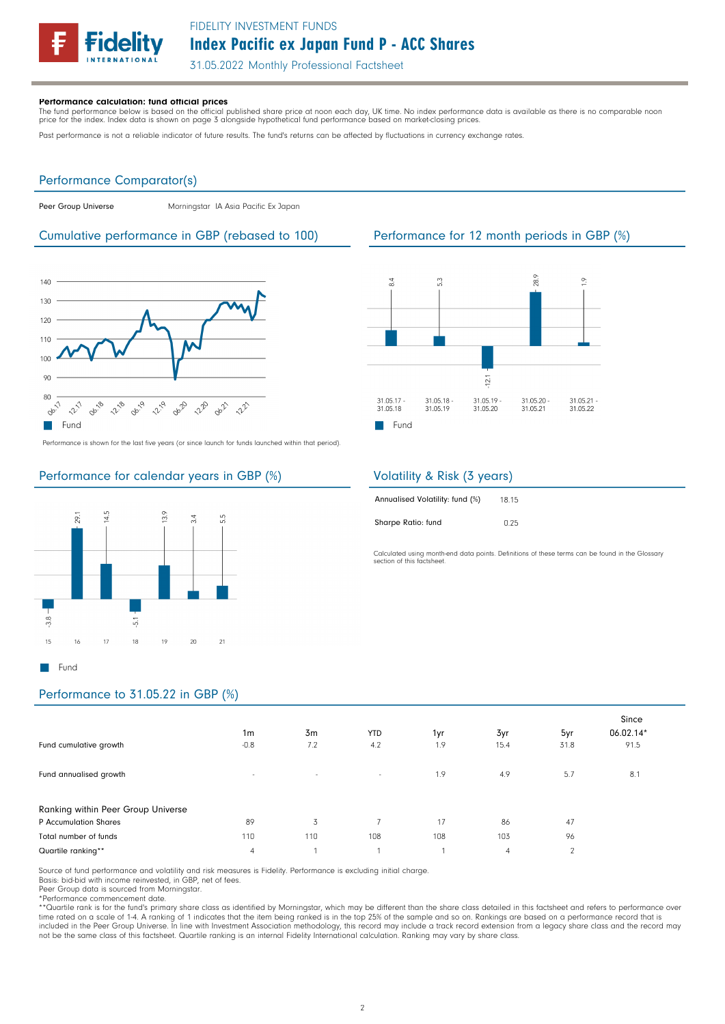

# Index Pacific ex Japan Fund P - ACC Shares FIDELITY INVESTMENT FUNDS

31.05.2022 Monthly Professional Factsheet

#### Performance calculation: fund official prices

The fund performance below is based on the official published share price at noon each day, UK time. No index performance data is available as there is no comparable noon<br>price for the index. Index data is shown on page 3

Past performance is not a reliable indicator of future results. The fund's returns can be affected by fluctuations in currency exchange rates.

#### Performance Comparator(s)

Peer Group Universe Morningstar IA Asia Pacific Ex Japan

### Cumulative performance in GBP (rebased to 100) Performance for 12 month periods in GBP (%)



Performance is shown for the last five years (or since launch for funds launched within that period).

## Performance for calendar years in GBP (%)



## Performance to 31.05.22 in GBP (%)

|                                    | 1 <sub>m</sub>           | 3m     | <b>YTD</b>     | 1yr | 3yr            | 5yr  | Since<br>06.02.14* |
|------------------------------------|--------------------------|--------|----------------|-----|----------------|------|--------------------|
| Fund cumulative growth             | $-0.8$                   | 7.2    | 4.2            | 1.9 | 15.4           | 31.8 | 91.5               |
| Fund annualised growth             | $\overline{\phantom{a}}$ | $\sim$ | $\sim$         | 1.9 | 4.9            | 5.7  | 8.1                |
| Ranking within Peer Group Universe |                          |        |                |     |                |      |                    |
| P Accumulation Shares              | 89                       | 3      | $\overline{ }$ | 17  | 86             | 47   |                    |
| Total number of funds              | 110                      | 110    | 108            | 108 | 103            | 96   |                    |
| Quartile ranking**                 | 4                        |        |                |     | $\overline{4}$ | 2    |                    |

Source of fund performance and volatility and risk measures is Fidelity. Performance is excluding initial charge.

Basis: bid-bid with income reinvested, in GBP, net of fees.

Peer Group data is sourced from Morningstar.

\*Performance commencement date.

\*\*Quartile rank is for the fund's primary share class as identified by Morningstar, which may be different than the share class detailed in this factsheet and refers to performance over time rated on a scale of 1-4. A ranking of 1 indicates that the item being ranked is in the top 25% of the sample and so on. Rankings are based on a performance record that is included in the Peer Group Universe. In line with Investment Association methodology, this record may include a track record extension from a legacy share class and the record may<br>not be the same class of this factsheet. Q



## Volatility & Risk (3 years)

| Annualised Volatility: fund (%) | 18.15 |
|---------------------------------|-------|
| Sharpe Ratio: fund              | 0.25  |

Calculated using month-end data points. Definitions of these terms can be found in the Glossary section of this factsheet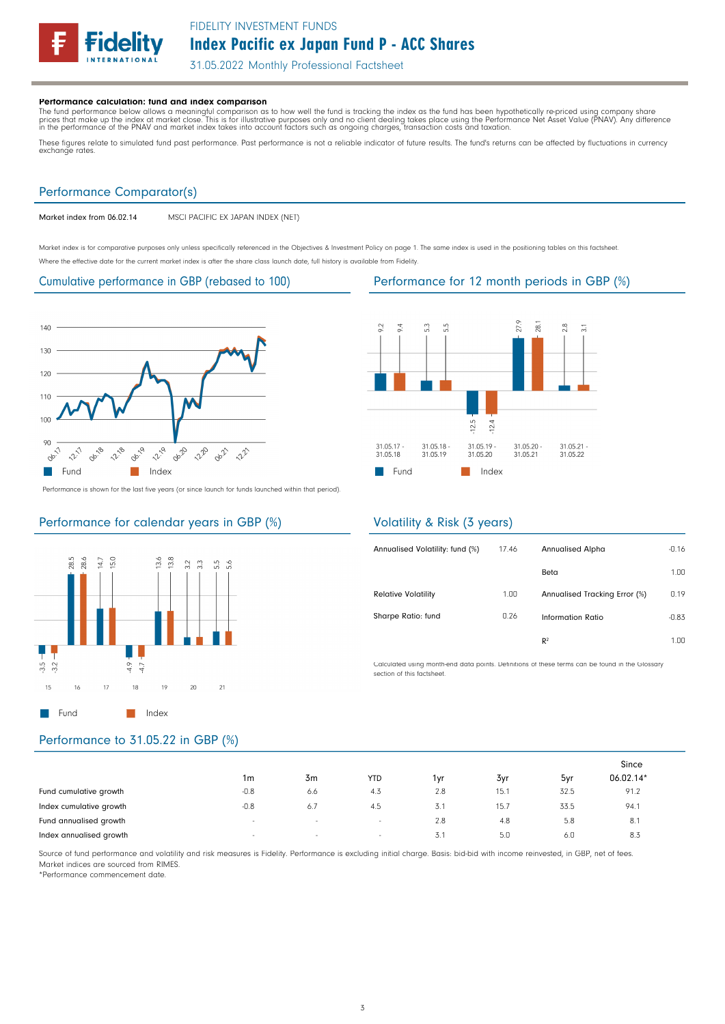# Index Pacific ex Japan Fund P - ACC Shares FIDELITY INVESTMENT FUNDS

31.05.2022 Monthly Professional Factsheet

#### Performance calculation: fund and index comparison

The fund performance below allows a meaningful comparison as to how well the fund is tracking the index as the fund has been hypothetically re-priced using company share<br>prices that make up the index at market close. This

These figures relate to simulated fund past performance. Past performance is not a reliable indicator of future results. The fund's returns can be affected by fluctuations in currency<br>exchange rates.

# Performance Comparator(s)

Market index from 06.02.14 MSCI PACIFIC EX JAPAN INDEX (NET)

Market index is for comparative purposes only unless specifically referenced in the Objectives & Investment Policy on page 1. The same index is used in the positioning tables on this factsheet. Where the effective date for the current market index is after the share class launch date, full history is available from Fidelity.

### Cumulative performance in GBP (rebased to 100) Performance for 12 month periods in GBP (%)



Performance is shown for the last five years (or since launch for funds launched within that period).

# Performance for calendar years in GBP (%)





### Volatility & Risk (3 years)

| Annualised Volatility: fund (%) | 17.46 | <b>Annualised Alpha</b>       | $-0.16$ |
|---------------------------------|-------|-------------------------------|---------|
|                                 |       | Beta                          | 1.00    |
| <b>Relative Volatility</b>      | 1.00  | Annualised Tracking Error (%) | 0.19    |
| Sharpe Ratio: fund              | 0.26  | Information Ratio             | $-0.83$ |
|                                 |       | R <sup>2</sup>                | 1.00    |

Calculated using month-end data points. Definitions of these terms can be found in the Glossary section of this factsheet

## Performance to 31.05.22 in GBP (%)

|                         |                          |        |            |       |      |      | Since     |
|-------------------------|--------------------------|--------|------------|-------|------|------|-----------|
|                         | 1m                       | 3m     | <b>YTD</b> | 1vr   | 3yr  | 5yr  | 06.02.14* |
| Fund cumulative growth  | $-0.8$                   | 6.6    | 4.3        | 2.8   | 15.1 | 32.5 | 91.2      |
| Index cumulative growth | $-0.8$                   | 6.7    | 4.5        | ا . ل | 15.7 | 33.5 | 94.1      |
| Fund annualised growth  | $\overline{\phantom{a}}$ | $\sim$ | $\sim$     | 2.8   | 4.8  | 5.8  | 8.1       |
| Index annualised growth | $\sim$                   | $\sim$ | $\sim$     | 3.7   | 5.0  | 6.0  | 8.3       |

Source of fund performance and volatility and risk measures is Fidelity. Performance is excluding initial charge. Basis: bid-bid with income reinvested, in GBP, net of fees. Market indices are sourced from RIMES.

\*Performance commencement date.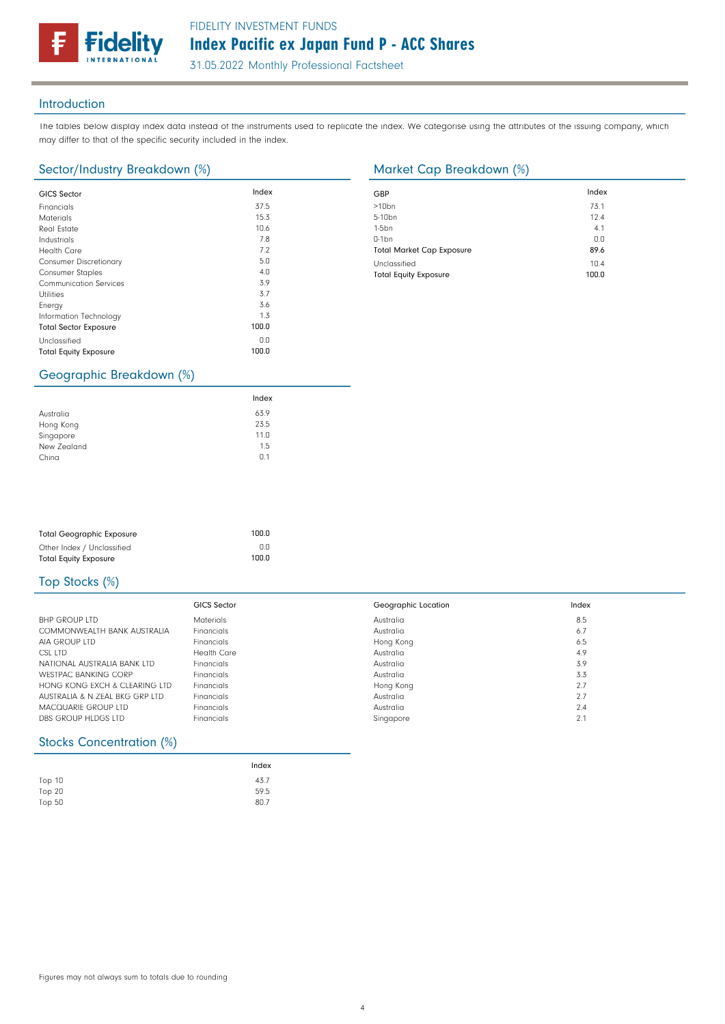## FIDELITY INVESTMENT FUNDS

# Index Pacific ex Japan Fund P - ACC Shares

31.05.2022 Monthly Professional Factsheet

#### Introduction

The tables below display index data instead of the instruments used to replicate the index. We categorise using the attributes of the issuing company, which may differ to that of the specific security included in the index.

### Sector/Industry Breakdown (%) Market Cap Breakdown (%)

**delity** 

| <b>GICS Sector</b>            | Index | GBP              |
|-------------------------------|-------|------------------|
| Financials                    | 37.5  | >10 <sub>k</sub> |
| <b>Materials</b>              | 15.3  | $5 - 10$         |
| <b>Real Estate</b>            | 10.6  | $1-5b$           |
| Industrials                   | 7.8   | $0-1b$           |
| <b>Health Care</b>            | 7.2   | Tota             |
| <b>Consumer Discretionary</b> | 5.0   | Uncl             |
| <b>Consumer Staples</b>       | 4.0   | Tota             |
| <b>Communication Services</b> | 3.9   |                  |
| <b>Utilities</b>              | 3.7   |                  |
| Energy                        | 3.6   |                  |
| Information Technology        | 1.3   |                  |
| <b>Total Sector Exposure</b>  | 100.0 |                  |
| Unclassified                  | 0.0   |                  |
| <b>Total Equity Exposure</b>  | 100.0 |                  |
|                               |       |                  |

| GBP                              | Index |
|----------------------------------|-------|
| $>10$ bn                         | 73.1  |
| $5-10$ bn                        | 12.4  |
| $1-5$ bn                         | 4.1   |
| $0-1$ bn                         | 0.0   |
| <b>Total Market Cap Exposure</b> | 89.6  |
| Unclassified                     | 10.4  |
| <b>Total Equity Exposure</b>     | 100.0 |

## Geographic Breakdown (%)

|             | Index |  |
|-------------|-------|--|
| Australia   | 63.9  |  |
| Hong Kong   | 23.5  |  |
| Singapore   | 11.0  |  |
| New Zealand | 1.5   |  |
| China       | 0.1   |  |

| <b>Total Geographic Exposure</b> | 100.0 |
|----------------------------------|-------|
| Other Index / Unclassified       | 0.0   |
| <b>Total Equity Exposure</b>     | 100.0 |

## Top Stocks (%)

|                                | GICS Sector        | Geographic Location | Index |
|--------------------------------|--------------------|---------------------|-------|
| <b>BHP GROUP LTD</b>           | <b>Materials</b>   | Australia           | 8.5   |
| COMMONWEALTH BANK AUSTRALIA    | Financials         | Australia           | 6.7   |
| AIA GROUP LTD                  | Financials         | Hong Kong           | 6.5   |
| CSL LTD                        | <b>Health Care</b> | Australia           | 4.9   |
| NATIONAL AUSTRALIA BANK LTD    | Financials         | Australia           | 3.9   |
| <b>WESTPAC BANKING CORP</b>    | Financials         | Australia           | 3.3   |
| HONG KONG FXCH & CLEARING LTD  | Financials         | Hong Kong           | 2.7   |
| AUSTRALIA & N ZEAL BKG GRP LTD | Financials         | Australia           | 2.7   |
| MACQUARIE GROUP LTD            | Financials         | Australia           | 2.4   |
| DBS GROUP HLDGS LTD            | Financials         | Singapore           | 2.1   |

#### Stocks Concentration (%)

|               | Index |
|---------------|-------|
| <b>Top 10</b> | 43.7  |
| Top $20$      | 59.5  |
| Top 50        | 80.7  |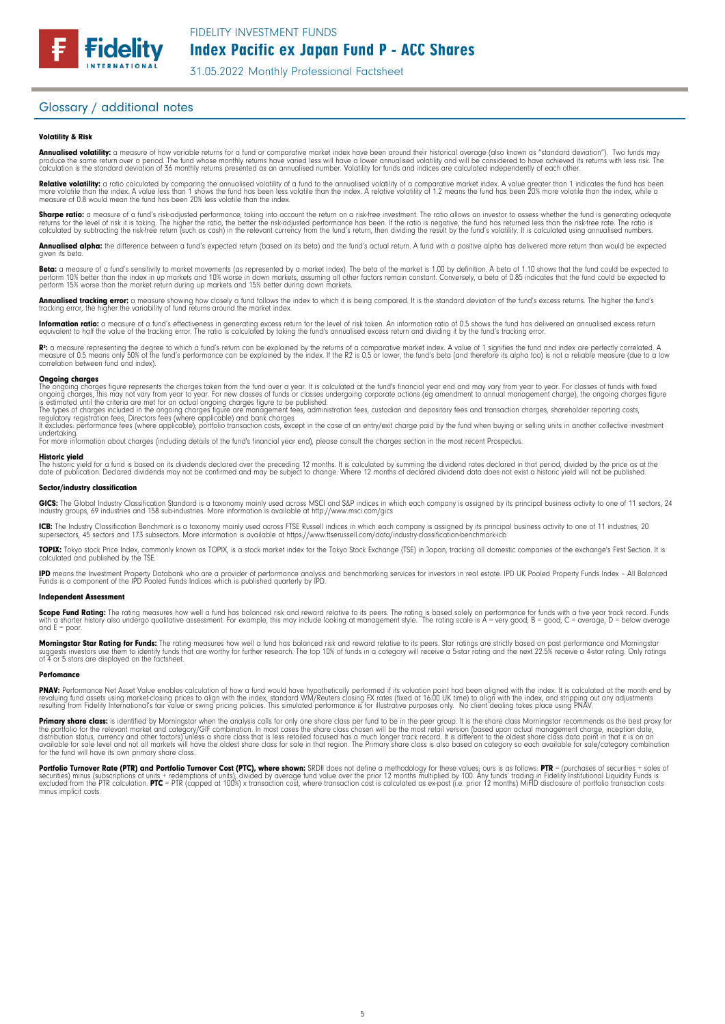31.05.2022 Monthly Professional Factsheet

#### Glossary / additional notes

#### Volatility & Risk

**Annualised volatility:** a measure of how variable returns for a fund or comparative market index have been around their historical average (also known as "standard deviation"). Two funds may<br>produce the same return over a calculation is the standard deviation of 36 monthly returns presented as an annualised number. Volatility for funds and indices are calculated independently of each other

**Relative volatility:** a ratio calculated by comparing the annualised volatility of a fund to the annualised volatility of a comparative market index. A value greater than 1 indicates the fund has been<br>more volatile than t measure of 0.8 would mean the fund has been 20% less volatile than the index.

**Sharpe ratio:** a measure of a fund's risk-adjusted performance, taking into account the return on a risk-free investment. The ratio allows an investor to assess whether the fund is generating adequate the tund is generati

Annualised alpha: the difference between a fund's expected return (based on its beta) and the fund's actual return. A fund with a positive alpha has delivered more return than would be expected given its beta

**Beta:** a measure of a fund's sensitivity to market movements (as represented by a market index). The beta of the market is 1.00 by definition. A beta of 1.10 shows that the fund could be expected to<br>perform 10% better tha perform 15% worse than the market return during up markets and 15% better during down markets.

**Annualised tracking error:** a measure showing how closely a tund tollows the index to which it is being compared. It is the standard deviation of the fund's excess returns. The higher the fund's<br>tracking error, the higher

**Information ratio:** a measure ot a tund's eftectiveness in generating excess return for the level of risk taken. An information ratio of U.5 shows the fund has delivered an annualised excess return<br>equivalent to half the

Rº: a measure representing the degree to which a fund's return can be explained by the returns of a comparative market index. A value of 1 signifies the fund and index are perfectly correlated. A<br>measure of 0.5 means only correlation between fund and index).

**Ongoing charges** figure represents the charges taken from the fund over a year. It is calculated at the fund's financial year end and may vary from year to year. For classes of funds with fixed ongoing charges figure repr

For more information about charges (including details of the fund's financial year end), please consult the charges section in the most recent Prospectus.

**Historic yield**<br>The historic yield for a fund is based on its dividends declared over the preceding 12 months. It is calculated by summing the dividend rates declared in that period, divided by the price as at the date of publication. Declared dividends may not be confirmed and may be subject to change. Where 12 months of declared dividend data does not exist a historic yield will not be published.

#### Sector/industry classification

GICS: The Global Industry Classification Standard is a taxonomy mainly used across MSCI and S&P indices in which each company is assigned by its principal business activity to one of 11 sectors, 24 industry groups, 69 industries and 158 sub-industries. More information is available at http://www.msci.com/gics

**ICB:** The Industry Classitication Benchmark is a taxonomy mainly used across FTSE Russell indices in which each company is assigned by its principal business activity to one of 11 industries, 20<br>supersectors, 45 sectors a

TOPIX: Tokyo stock Price Index, commonly known as TOPIX, is a stock market index for the Tokyo Stock Exchange (TSE) in Japan, tracking all domestic companies of the exchange's First Section. It is calculated and published by the TSE.

**IPD** means the Investment Property Databank who are a provider of performance analysis and benchmarking services for investors in real estate. IPD UK Pooled Property Funds Index - All Balanced<br>Funds is a component of the

#### Independent Assessment

**Scope Fund Rating:** The rating measures how well a fund has balanced risk and reward relative to its peers. The rating is based solely on performance for funds with a five year track record. Funds<br>with a shorter history a  $and E = poor$ 

**Morningstar Star Rating for Funds:** The rating measures how well a tund has balanced risk and reward relative to its peers. Star ratings are strictly based on past performance and Morningstar<br>suggests investors use them t

#### **Perfomance**

**PNAV:** Performance Net Asset Value enables calculation of how a fund would have hypothetically performed if its valuation point had been aligned with the index. It is calculated at the month end by<br>revaluing from Fidelity

Primary share class: is identified by Morningstar when the analysis calls for only one share class per fund to be in the peer group. It is the share class Morningstar recommends as the best proxy for the portfolio for the relevant market and category/GIF combination. In most cases the share class chosen will be the most retail version (based upon actual management charge, inception date,<br>distribution status, currency a

Portfolio Turnover Rate (PTR) and Portfolio Turnover Cost (PTC), where shown: SRDII does not define a methodology for these values; ours is as follows: PTR = (purchases of securities + sales of<br>securities) minus (subscript minus implicit costs.